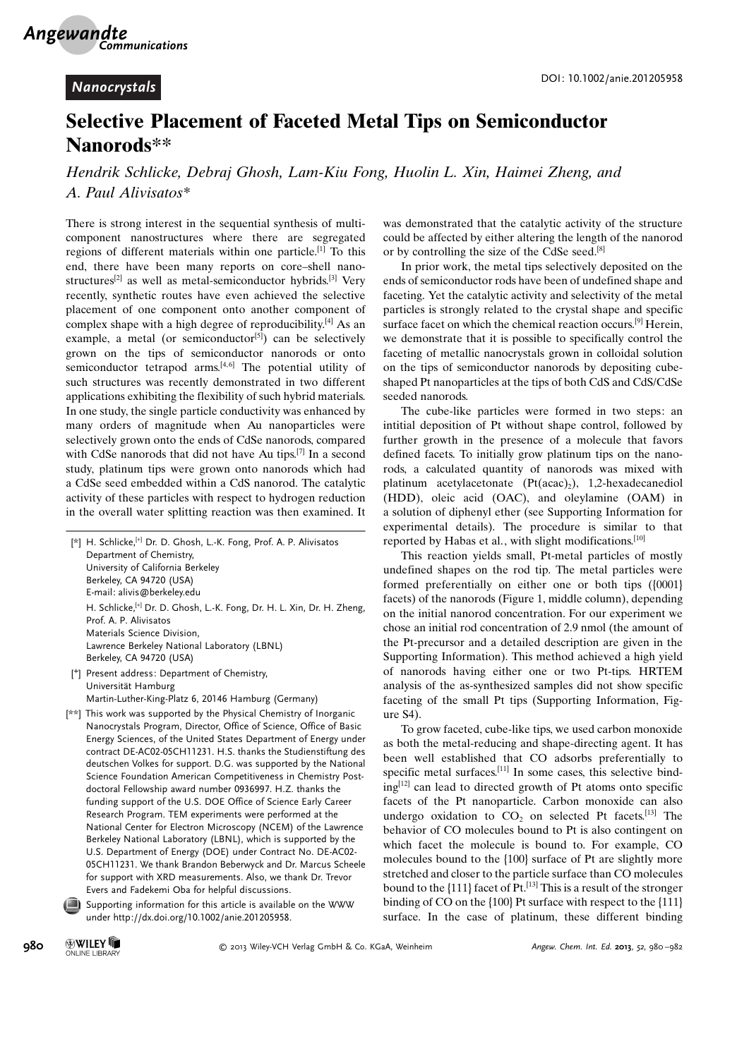## Selective Placement of Faceted Metal Tips on Semiconductor Nanorods\*\*

Hendrik Schlicke, Debraj Ghosh, Lam-Kiu Fong, Huolin L. Xin, Haimei Zheng, and A. Paul Alivisatos\*

There is strong interest in the sequential synthesis of multicomponent nanostructures where there are segregated regions of different materials within one particle.<sup>[1]</sup> To this end, there have been many reports on core–shell nanostructures<sup>[2]</sup> as well as metal-semiconductor hybrids.<sup>[3]</sup> Very recently, synthetic routes have even achieved the selective placement of one component onto another component of complex shape with a high degree of reproducibility. $[4]$  As an example, a metal (or semiconductor<sup>[5]</sup>) can be selectively grown on the tips of semiconductor nanorods or onto semiconductor tetrapod arms. $[4, 6]$  The potential utility of such structures was recently demonstrated in two different applications exhibiting the flexibility of such hybrid materials. In one study, the single particle conductivity was enhanced by many orders of magnitude when Au nanoparticles were selectively grown onto the ends of CdSe nanorods, compared with CdSe nanorods that did not have Au tips.<sup>[7]</sup> In a second study, platinum tips were grown onto nanorods which had a CdSe seed embedded within a CdS nanorod. The catalytic activity of these particles with respect to hydrogen reduction in the overall water splitting reaction was then examined. It

| [*] H. Schlicke, [+] Dr. D. Ghosh, L.-K. Fong, Prof. A. P. Alivisatos              |
|------------------------------------------------------------------------------------|
| Department of Chemistry,                                                           |
| University of California Berkeley                                                  |
| Berkeley, CA 94720 (USA)                                                           |
| E-mail: alivis@berkeley.edu                                                        |
| H. Schlicke, <sup>[+]</sup> Dr. D. Ghosh, L.-K. Fong, Dr. H. L. Xin, Dr. H. Zheng, |
| Prof. A. P. Alivisatos                                                             |
| Materials Science Division,                                                        |
| Lawrence Berkeley National Laboratory (LBNL)                                       |
| Berkeley, CA 94720 (USA)                                                           |
| Present address: Department of Chemistry,                                          |

- Universität Hamburg Martin-Luther-King-Platz 6, 20146 Hamburg (Germany)
- [\*\*] This work was supported by the Physical Chemistry of Inorganic Nanocrystals Program, Director, Office of Science, Office of Basic Energy Sciences, of the United States Department of Energy under contract DE-AC02-05CH11231. H.S. thanks the Studienstiftung des deutschen Volkes for support. D.G. was supported by the National Science Foundation American Competitiveness in Chemistry Postdoctoral Fellowship award number 0936997. H.Z. thanks the funding support of the U.S. DOE Office of Science Early Career Research Program. TEM experiments were performed at the National Center for Electron Microscopy (NCEM) of the Lawrence Berkeley National Laboratory (LBNL), which is supported by the U.S. Department of Energy (DOE) under Contract No. DE-AC02- 05CH11231. We thank Brandon Beberwyck and Dr. Marcus Scheele for support with XRD measurements. Also, we thank Dr. Trevor Evers and Fadekemi Oba for helpful discussions.

Supporting information for this article is available on the WWW under<http://dx.doi.org/10.1002/anie.201205958>.

was demonstrated that the catalytic activity of the structure could be affected by either altering the length of the nanorod or by controlling the size of the CdSe seed.[8]

In prior work, the metal tips selectively deposited on the ends of semiconductor rods have been of undefined shape and faceting. Yet the catalytic activity and selectivity of the metal particles is strongly related to the crystal shape and specific surface facet on which the chemical reaction occurs.<sup>[9]</sup> Herein, we demonstrate that it is possible to specifically control the faceting of metallic nanocrystals grown in colloidal solution on the tips of semiconductor nanorods by depositing cubeshaped Pt nanoparticles at the tips of both CdS and CdS/CdSe seeded nanorods.

The cube-like particles were formed in two steps: an intitial deposition of Pt without shape control, followed by further growth in the presence of a molecule that favors defined facets. To initially grow platinum tips on the nanorods, a calculated quantity of nanorods was mixed with platinum acetylacetonate  $(Pt(acac),)$ , 1,2-hexadecanediol (HDD), oleic acid (OAC), and oleylamine (OAM) in a solution of diphenyl ether (see Supporting Information for experimental details). The procedure is similar to that reported by Habas et al., with slight modifications.<sup>[10]</sup>

This reaction yields small, Pt-metal particles of mostly undefined shapes on the rod tip. The metal particles were formed preferentially on either one or both tips ({0001} facets) of the nanorods (Figure 1, middle column), depending on the initial nanorod concentration. For our experiment we chose an initial rod concentration of 2.9 nmol (the amount of the Pt-precursor and a detailed description are given in the Supporting Information). This method achieved a high yield of nanorods having either one or two Pt-tips. HRTEM analysis of the as-synthesized samples did not show specific faceting of the small Pt tips (Supporting Information, Figure S4).

To grow faceted, cube-like tips, we used carbon monoxide as both the metal-reducing and shape-directing agent. It has been well established that CO adsorbs preferentially to specific metal surfaces.<sup>[11]</sup> In some cases, this selective bind $ing^{[12]}$  can lead to directed growth of Pt atoms onto specific facets of the Pt nanoparticle. Carbon monoxide can also undergo oxidation to  $CO<sub>2</sub>$  on selected Pt facets.<sup>[13]</sup> The behavior of CO molecules bound to Pt is also contingent on which facet the molecule is bound to. For example, CO molecules bound to the {100} surface of Pt are slightly more stretched and closer to the particle surface than CO molecules bound to the  $\{111\}$  facet of Pt.<sup>[13]</sup> This is a result of the stronger binding of CO on the {100} Pt surface with respect to the {111} surface. In the case of platinum, these different binding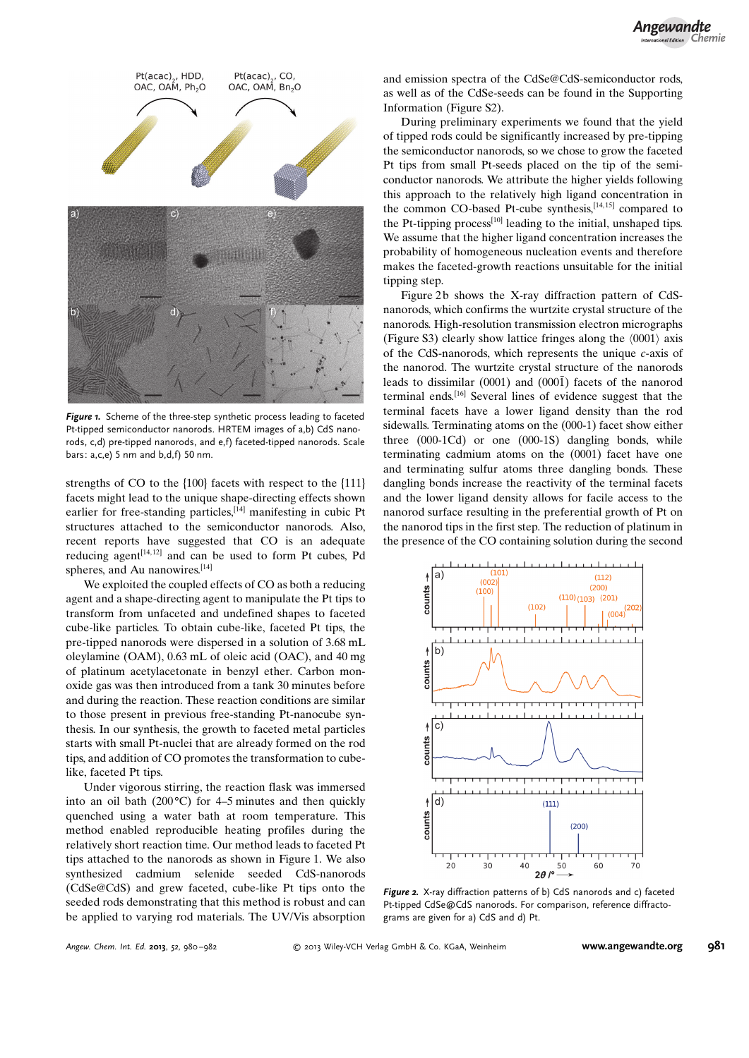

Figure 1. Scheme of the three-step synthetic process leading to faceted Pt-tipped semiconductor nanorods. HRTEM images of a,b) CdS nanorods, c,d) pre-tipped nanorods, and e,f) faceted-tipped nanorods. Scale bars: a,c,e) 5 nm and b,d,f) 50 nm.

strengths of CO to the {100} facets with respect to the {111} facets might lead to the unique shape-directing effects shown earlier for free-standing particles,<sup>[14]</sup> manifesting in cubic Pt structures attached to the semiconductor nanorods. Also, recent reports have suggested that CO is an adequate reducing agent $[14, 12]$  and can be used to form Pt cubes, Pd spheres, and Au nanowires.<sup>[14]</sup>

We exploited the coupled effects of CO as both a reducing agent and a shape-directing agent to manipulate the Pt tips to transform from unfaceted and undefined shapes to faceted cube-like particles. To obtain cube-like, faceted Pt tips, the pre-tipped nanorods were dispersed in a solution of 3.68 mL oleylamine (OAM), 0.63 mL of oleic acid (OAC), and 40 mg of platinum acetylacetonate in benzyl ether. Carbon monoxide gas was then introduced from a tank 30 minutes before and during the reaction. These reaction conditions are similar to those present in previous free-standing Pt-nanocube synthesis. In our synthesis, the growth to faceted metal particles starts with small Pt-nuclei that are already formed on the rod tips, and addition of CO promotes the transformation to cubelike, faceted Pt tips.

Under vigorous stirring, the reaction flask was immersed into an oil bath (200 $^{\circ}$ C) for 4–5 minutes and then quickly quenched using a water bath at room temperature. This method enabled reproducible heating profiles during the relatively short reaction time. Our method leads to faceted Pt tips attached to the nanorods as shown in Figure 1. We also synthesized cadmium selenide seeded CdS-nanorods (CdSe@CdS) and grew faceted, cube-like Pt tips onto the seeded rods demonstrating that this method is robust and can be applied to varying rod materials. The UV/Vis absorption and emission spectra of the CdSe@CdS-semiconductor rods, as well as of the CdSe-seeds can be found in the Supporting Information (Figure S2).

During preliminary experiments we found that the yield of tipped rods could be significantly increased by pre-tipping the semiconductor nanorods, so we chose to grow the faceted Pt tips from small Pt-seeds placed on the tip of the semiconductor nanorods. We attribute the higher yields following this approach to the relatively high ligand concentration in the common CO-based Pt-cube synthesis, $[14, 15]$  compared to the Pt-tipping process $[10]$  leading to the initial, unshaped tips. We assume that the higher ligand concentration increases the probability of homogeneous nucleation events and therefore makes the faceted-growth reactions unsuitable for the initial tipping step.

Figure 2b shows the X-ray diffraction pattern of CdSnanorods, which confirms the wurtzite crystal structure of the nanorods. High-resolution transmission electron micrographs (Figure S3) clearly show lattice fringes along the  $(0001)$  axis of the CdS-nanorods, which represents the unique c-axis of the nanorod. The wurtzite crystal structure of the nanorods leads to dissimilar  $(0001)$  and  $(000\bar{1})$  facets of the nanorod terminal ends.[16] Several lines of evidence suggest that the terminal facets have a lower ligand density than the rod sidewalls. Terminating atoms on the (000-1) facet show either three (000-1Cd) or one (000-1S) dangling bonds, while terminating cadmium atoms on the (0001) facet have one and terminating sulfur atoms three dangling bonds. These dangling bonds increase the reactivity of the terminal facets and the lower ligand density allows for facile access to the nanorod surface resulting in the preferential growth of Pt on the nanorod tips in the first step. The reduction of platinum in the presence of the CO containing solution during the second



Figure 2. X-ray diffraction patterns of b) CdS nanorods and c) faceted Pt-tipped CdSe@CdS nanorods. For comparison, reference diffractograms are given for a) CdS and d) Pt.